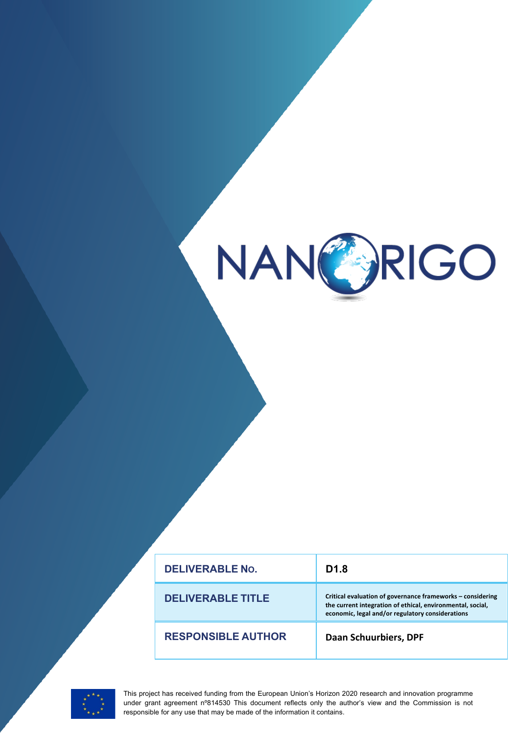

| <b>DELIVERABLE No.</b>    | D <sub>1.8</sub>                                                                                                                                                             |
|---------------------------|------------------------------------------------------------------------------------------------------------------------------------------------------------------------------|
| <b>DELIVERABLE TITLE</b>  | Critical evaluation of governance frameworks - considering<br>the current integration of ethical, environmental, social,<br>economic, legal and/or regulatory considerations |
| <b>RESPONSIBLE AUTHOR</b> | <b>Daan Schuurbiers, DPF</b>                                                                                                                                                 |



This project has received funding from the European Union's Horizon 2020 research and innovation programme under grant agreement n°814530 This document reflects only the author's view and the Commission is not responsible for any use that may be made of the information it contains.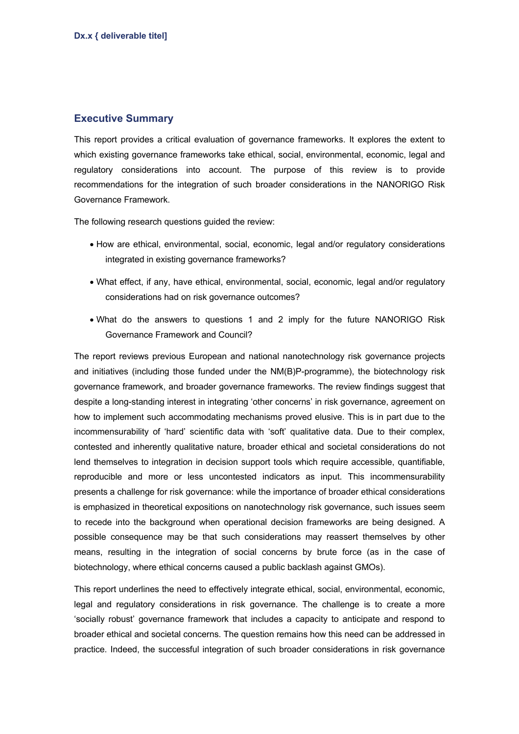## **Executive Summary**

This report provides a critical evaluation of governance frameworks. It explores the extent to which existing governance frameworks take ethical, social, environmental, economic, legal and regulatory considerations into account. The purpose of this review is to provide recommendations for the integration of such broader considerations in the NANORIGO Risk Governance Framework.

The following research questions guided the review:

- How are ethical, environmental, social, economic, legal and/or regulatory considerations integrated in existing governance frameworks?
- What effect, if any, have ethical, environmental, social, economic, legal and/or regulatory considerations had on risk governance outcomes?
- What do the answers to questions 1 and 2 imply for the future NANORIGO Risk Governance Framework and Council?

The report reviews previous European and national nanotechnology risk governance projects and initiatives (including those funded under the NM(B)P-programme), the biotechnology risk governance framework, and broader governance frameworks. The review findings suggest that despite a long-standing interest in integrating 'other concerns' in risk governance, agreement on how to implement such accommodating mechanisms proved elusive. This is in part due to the incommensurability of 'hard' scientific data with 'soft' qualitative data. Due to their complex, contested and inherently qualitative nature, broader ethical and societal considerations do not lend themselves to integration in decision support tools which require accessible, quantifiable, reproducible and more or less uncontested indicators as input. This incommensurability presents a challenge for risk governance: while the importance of broader ethical considerations is emphasized in theoretical expositions on nanotechnology risk governance, such issues seem to recede into the background when operational decision frameworks are being designed. A possible consequence may be that such considerations may reassert themselves by other means, resulting in the integration of social concerns by brute force (as in the case of biotechnology, where ethical concerns caused a public backlash against GMOs).

This report underlines the need to effectively integrate ethical, social, environmental, economic, legal and regulatory considerations in risk governance. The challenge is to create a more 'socially robust' governance framework that includes a capacity to anticipate and respond to broader ethical and societal concerns. The question remains how this need can be addressed in practice. Indeed, the successful integration of such broader considerations in risk governance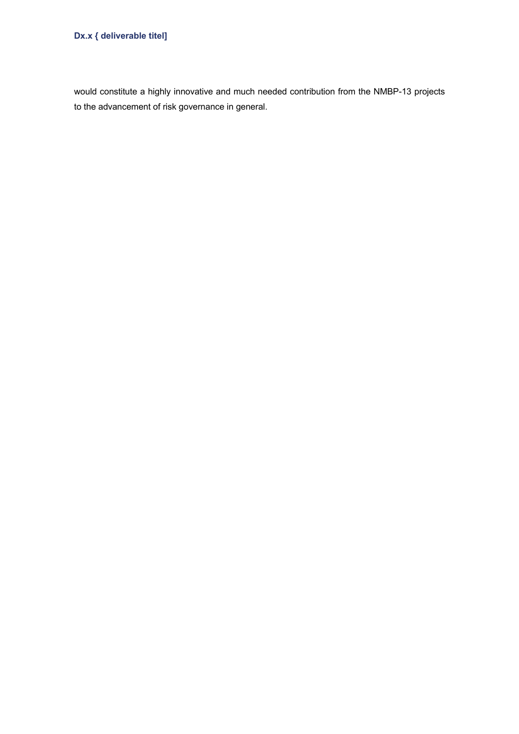## **Dx.x { deliverable titel]**

would constitute a highly innovative and much needed contribution from the NMBP-13 projects to the advancement of risk governance in general.